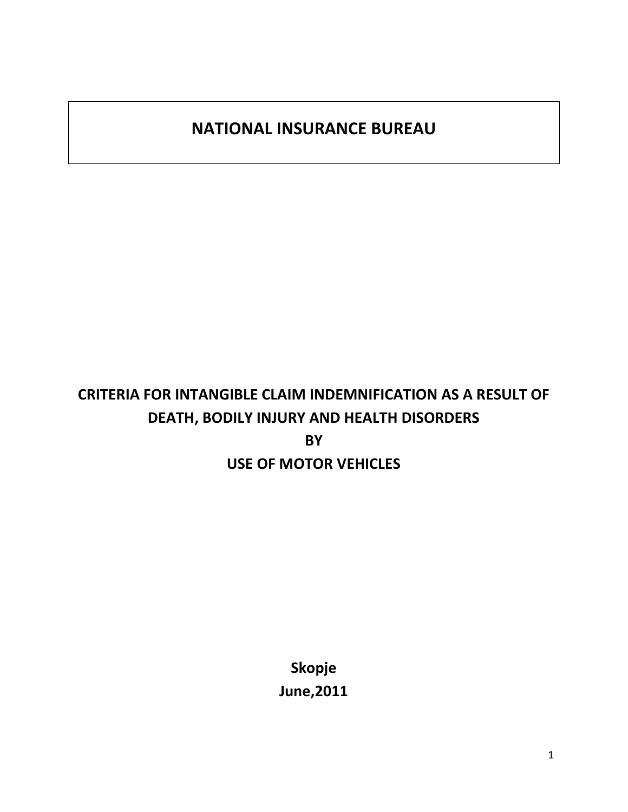# **NATIONAL INSURANCE BUREAU**

# **CRITERIA FOR INTANGIBLE CLAIM INDEMNIFICATION AS A RESULT OF DEATH, BODILY INJURY AND HEALTH DISORDERS BY USE OF MOTOR VEHICLES**

**Skopje June,2011**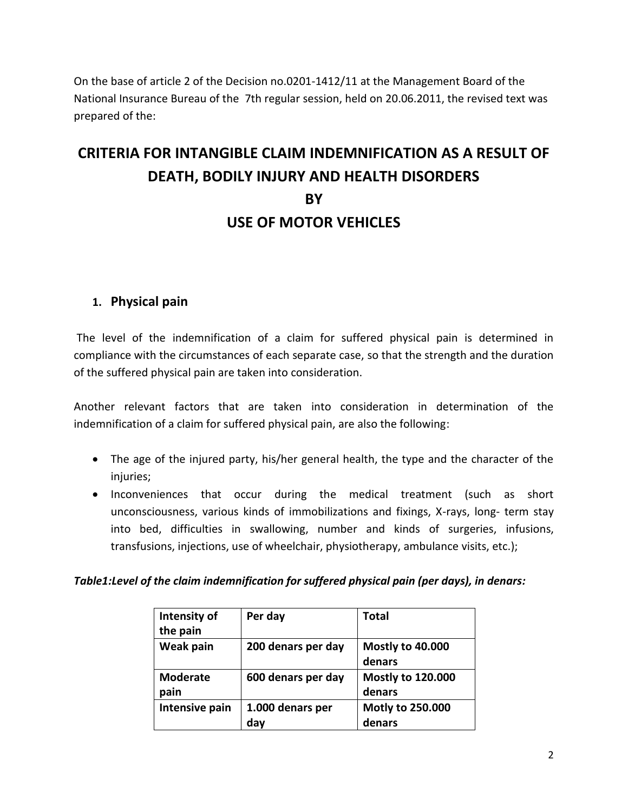On the base of article 2 of the Decision no.0201-1412/11 at the Management Board of the National Insurance Bureau of the 7th regular session, held on 20.06.2011, the revised text was prepared of the:

# **CRITERIA FOR INTANGIBLE CLAIM INDEMNIFICATION AS A RESULT OF DEATH, BODILY INJURY AND HEALTH DISORDERS BY USE OF MOTOR VEHICLES**

### **1. Physical pain**

The level of the indemnification of a claim for suffered physical pain is determined in compliance with the circumstances of each separate case, so that the strength and the duration of the suffered physical pain are taken into consideration.

Another relevant factors that are taken into consideration in determination of the indemnification of a claim for suffered physical pain, are also the following:

- The age of the injured party, his/her general health, the type and the character of the injuries;
- Inconveniences that occur during the medical treatment (such as short unconsciousness, various kinds of immobilizations and fixings, X-rays, long- term stay into bed, difficulties in swallowing, number and kinds of surgeries, infusions, transfusions, injections, use of wheelchair, physiotherapy, ambulance visits, etc.);

*Table1:Level of the claim indemnification for suffered physical pain (per days), in denars:*

| Intensity of<br>the pain | Per day            | <b>Total</b>                       |
|--------------------------|--------------------|------------------------------------|
| <b>Weak pain</b>         | 200 denars per day | Mostly to 40.000<br>denars         |
| <b>Moderate</b><br>pain  | 600 denars per day | <b>Mostly to 120.000</b><br>denars |
| Intensive pain           | 1.000 denars per   | Motly to 250.000                   |
|                          | day                | denars                             |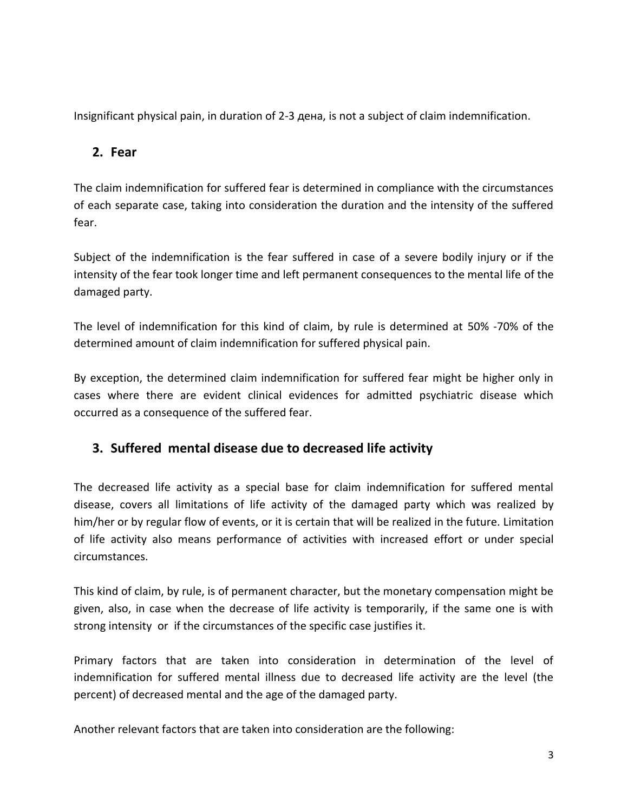Insignificant physical pain, in duration of 2-3 дена, is not a subject of claim indemnification.

## **2. Fear**

The claim indemnification for suffered fear is determined in compliance with the circumstances of each separate case, taking into consideration the duration and the intensity of the suffered fear.

Subject of the indemnification is the fear suffered in case of a severe bodily injury or if the intensity of the fear took longer time and left permanent consequences to the mental life of the damaged party.

The level of indemnification for this kind of claim, by rule is determined at 50% -70% of the determined amount of claim indemnification for suffered physical pain.

By exception, the determined claim indemnification for suffered fear might be higher only in cases where there are evident clinical evidences for admitted psychiatric disease which occurred as a consequence of the suffered fear.

# **3. Suffered mental disease due to decreased life activity**

The decreased life activity as a special base for claim indemnification for suffered mental disease, covers all limitations of life activity of the damaged party which was realized by him/her or by regular flow of events, or it is certain that will be realized in the future. Limitation of life activity also means performance of activities with increased effort or under special circumstances.

This kind of claim, by rule, is of permanent character, but the monetary compensation might be given, also, in case when the decrease of life activity is temporarily, if the same one is with strong intensity or if the circumstances of the specific case justifies it.

Primary factors that are taken into consideration in determination of the level of indemnification for suffered mental illness due to decreased life activity are the level (the percent) of decreased mental and the age of the damaged party.

Another relevant factors that are taken into consideration are the following: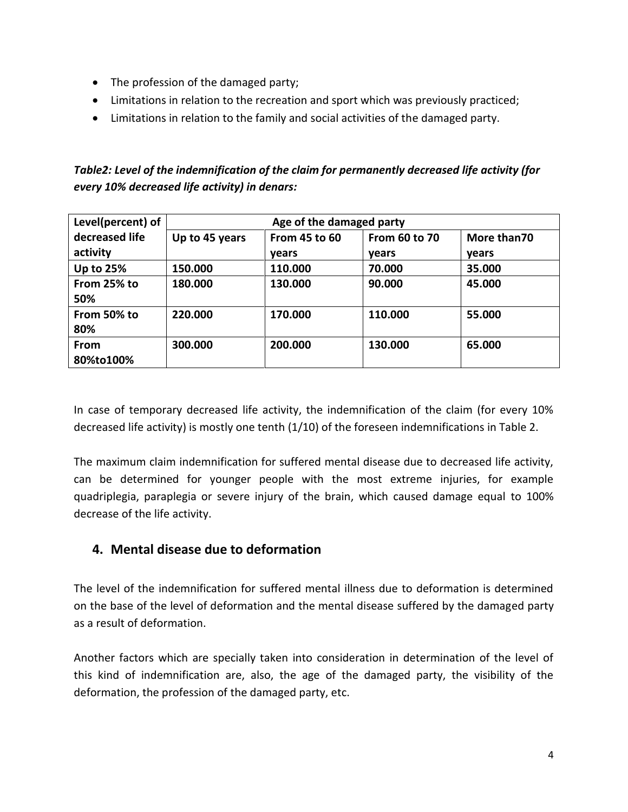- The profession of the damaged party;
- Limitations in relation to the recreation and sport which was previously practiced;
- Limitations in relation to the family and social activities of the damaged party.

## *Table2: Level of the indemnification of the claim for permanently decreased life activity (for every 10% decreased life activity) in denars:*

| Level(percent) of | Age of the damaged party |                      |                      |             |
|-------------------|--------------------------|----------------------|----------------------|-------------|
| decreased life    | Up to 45 years           | <b>From 45 to 60</b> | <b>From 60 to 70</b> | More than70 |
| activity          |                          | vears                | <b>vears</b>         | vears       |
| <b>Up to 25%</b>  | 150.000                  | 110.000              | 70.000               | 35.000      |
| From 25% to       | 180.000                  | 130.000              | 90.000               | 45.000      |
| 50%               |                          |                      |                      |             |
| From 50% to       | 220.000                  | 170.000              | 110.000              | 55.000      |
| 80%               |                          |                      |                      |             |
| <b>From</b>       | 300.000                  | 200.000              | 130.000              | 65.000      |
| 80%to100%         |                          |                      |                      |             |

In case of temporary decreased life activity, the indemnification of the claim (for every 10% decreased life activity) is mostly one tenth (1/10) of the foreseen indemnifications in Table 2.

The maximum claim indemnification for suffered mental disease due to decreased life activity, can be determined for younger people with the most extreme injuries, for example quadriplegia, paraplegia or severe injury of the brain, which caused damage equal to 100% decrease of the life activity.

# **4. Mental disease due to deformation**

The level of the indemnification for suffered mental illness due to deformation is determined on the base of the level of deformation and the mental disease suffered by the damaged party as a result of deformation.

Another factors which are specially taken into consideration in determination of the level of this kind of indemnification are, also, the age of the damaged party, the visibility of the deformation, the profession of the damaged party, etc.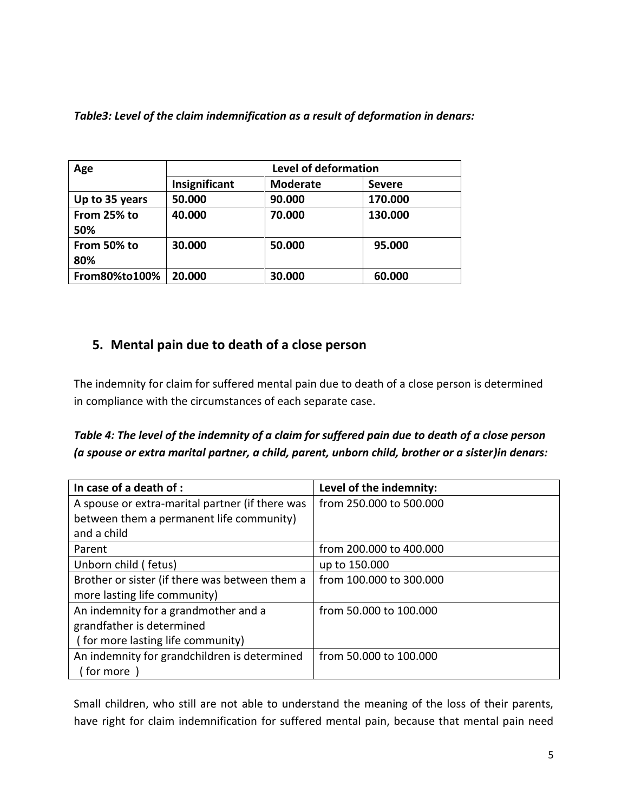| Table3: Level of the claim indemnification as a result of deformation in denars: |  |  |
|----------------------------------------------------------------------------------|--|--|
|----------------------------------------------------------------------------------|--|--|

| Age                | <b>Level of deformation</b> |                 |               |
|--------------------|-----------------------------|-----------------|---------------|
|                    | Insignificant               | <b>Moderate</b> | <b>Severe</b> |
| Up to 35 years     | 50.000                      | 90.000          | 170.000       |
| From 25% to<br>50% | 40.000                      | 70.000          | 130.000       |
| From 50% to<br>80% | 30.000                      | 50.000          | 95.000        |
| From80%to100%      | 20.000                      | 30.000          | 60.000        |

# **5. Mental pain due to death of a close person**

The indemnity for claim for suffered mental pain due to death of a close person is determined in compliance with the circumstances of each separate case.

*Table 4: The level of the indemnity of a claim for suffered pain due to death of a close person (a spouse or extra marital partner, a child, parent, unborn child, brother or a sister)in denars:*

| In case of a death of :                         | Level of the indemnity: |
|-------------------------------------------------|-------------------------|
| A spouse or extra-marital partner (if there was | from 250,000 to 500,000 |
| between them a permanent life community)        |                         |
| and a child                                     |                         |
| Parent                                          | from 200.000 to 400.000 |
| Unborn child (fetus)                            | up to 150.000           |
| Brother or sister (if there was between them a  | from 100.000 to 300.000 |
| more lasting life community)                    |                         |
| An indemnity for a grandmother and a            | from 50.000 to 100.000  |
| grandfather is determined                       |                         |
| (for more lasting life community)               |                         |
| An indemnity for grandchildren is determined    | from 50,000 to 100,000  |
| ( for more                                      |                         |

Small children, who still are not able to understand the meaning of the loss of their parents, have right for claim indemnification for suffered mental pain, because that mental pain need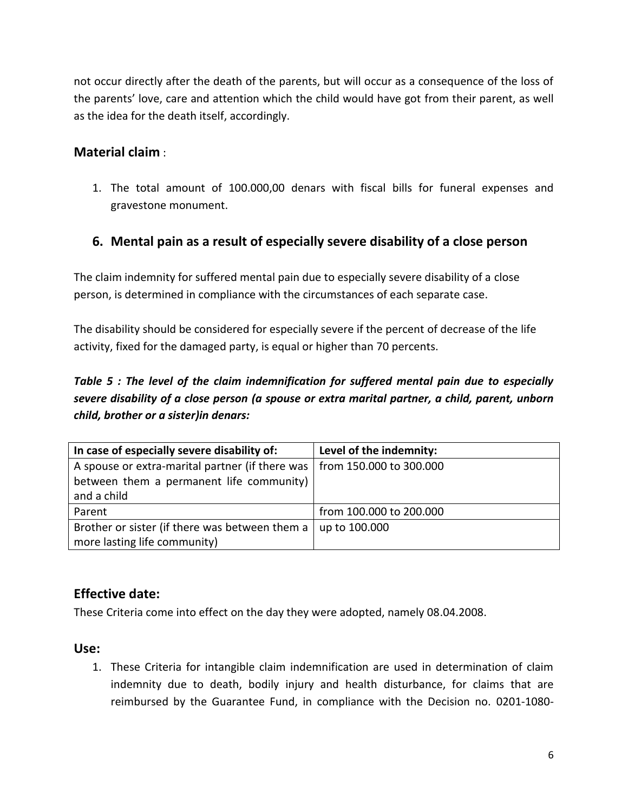not occur directly after the death of the parents, but will occur as a consequence of the loss of the parents' love, care and attention which the child would have got from their parent, as well as the idea for the death itself, accordingly.

# **Material claim** :

1. The total amount of 100.000,00 denars with fiscal bills for funeral expenses and gravestone monument.

### **6. Mental pain as a result of especially severe disability of a close person**

The claim indemnity for suffered mental pain due to especially severe disability of a close person, is determined in compliance with the circumstances of each separate case.

The disability should be considered for especially severe if the percent of decrease of the life activity, fixed for the damaged party, is equal or higher than 70 percents.

# *Table 5 : The level of the claim indemnification for suffered mental pain due to especially severe disability of a close person (a spouse or extra marital partner, a child, parent, unborn child, brother or a sister)in denars:*

| In case of especially severe disability of:     | Level of the indemnity: |
|-------------------------------------------------|-------------------------|
| A spouse or extra-marital partner (if there was | from 150.000 to 300.000 |
| between them a permanent life community)        |                         |
| and a child                                     |                         |
| Parent                                          | from 100.000 to 200.000 |
| Brother or sister (if there was between them a  | up to 100.000           |
| more lasting life community)                    |                         |

# **Effective date:**

These Criteria come into effect on the day they were adopted, namely 08.04.2008.

#### **Use:**

1. These Criteria for intangible claim indemnification are used in determination of claim indemnity due to death, bodily injury and health disturbance, for claims that are reimbursed by the Guarantee Fund, in compliance with the Decision no. 0201-1080